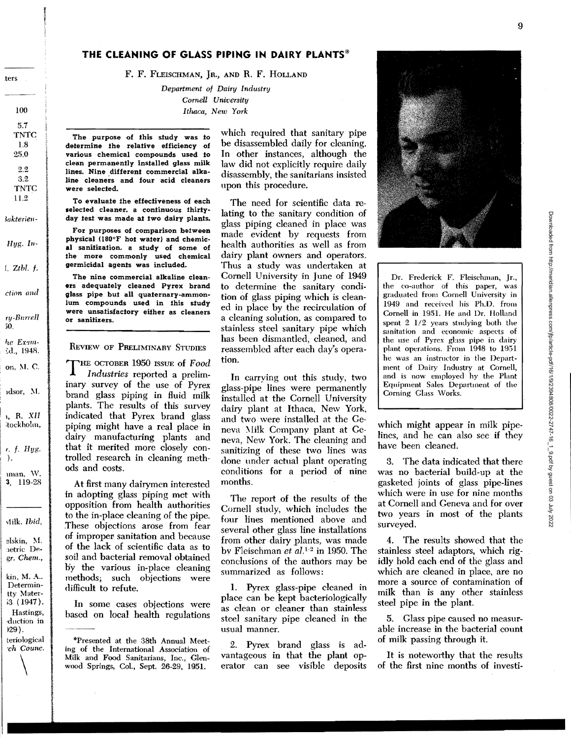# THE CLEANING OF GLASS PIPING IN DAIRY PLANTS\*

F. F. FLEISCHMAN, JR., AND R. F. HOLLAND

Department of Dairy Industry Cornell University Ithaca, New York

The purpose of this study was to determine the relative efficiency of various chemical compounds used to clean permanently installed glass milk lines. Nine different commercial alkaline cleaners and four acid cleaners Were selected.

To evaluate the effectiveness of each selected cleaner, a continuous thirtyday test was made at two dairy plants.

For purposes of comparison between physical (180°F hot water) and chemical sanifization, a study of some of the more commonly used chemical germicidal agents was included.

The nine commercial alkaline cleaners adequately cleaned Pyrex brand glass pipe but all quaternary-ammonium compounds used in this study were unsatisfactory either as cleaners or sanifizers.

**REVIEW OF PRELIMINARY STUDIES** 

THE OCTOBER 1950 ISSUE of Food Industries reported a preliminary survey of the use of Pyrex brand glass piping in fluid milk plants. The results of this survey indicated that Pyrex brand glass piping might have a real place in dairy manufacturing plants and that it merited more closely controlled research in cleaning methods and costs.

At first many dairymen interested in adopting glass piping met with opposition from health authorities to the in-place cleaning of the pipe. These objections arose from fear of improper sanitation and because of the lack of scientific data as to soil and bacterial removal obtained by the various in-place cleaning methods; such objections were difficult to refute.

In some cases objections were based on local health regulations

\*Presented at the 38th Annual Meeting of the International Association of Milk and Food Sanitarians, Inc., Glenwood Springs, Col., Sept. 26-29, 1951.

which required that sanitary pipe be disassembled daily for cleaning. In other instances, although the law did not explicitly require daily disassembly, the sanitarians insisted upon this procedure.

The need for scientific data relating to the sanitary condition of glass piping cleaned in place was made evident by requests from health authorities as well as from dairy plant owners and operators. Thus a study was undertaken at Cornell University in June of 1949 to determine the sanitary condition of glass piping which is cleaned in place by the recirculation of a cleaning solution, as compared to stainless steel sanitary pipe which has been dismantled, cleaned, and reassembled after each day's operation.

In carrying out this study, two glass-pipe lines were permanently installed at the Cornell University dairy plant at Ithaca, New York, and two were installed at the Geneva Milk Company plant at Geneva, New York. The cleaning and sanitizing of these two lines was done under actual plant operating conditions for a period of nine months.

The report of the results of the Cornell study, which includes the four lines mentioned above and several other glass line installations from other dairy plants, was made by Fleischman et  $al.^{1.2}$  in 1950. The conclusions of the authors may be summarized as follows:

1. Pyrex glass-pipe cleaned in place can be kept bacteriologically as clean or cleaner than stainless steel sanitary pipe cleaned in the usual manner.

2. Pyrex brand glass is advantageous in that the plant operator can see visible deposits



Dr. Frederick F. Fleischman, Jr., the co-author of this paper, was graduated from Cornell University in 1949 and received his Ph.D. from Cornell in 1951. He and Dr. Holland spent 2 1/2 years studying both the sanitation and economic aspects of the use of Pyrex glass pipe in dairy plant operations. From 1948 to 1951 he was an instructor in the Department of Dairy Industry at Cornell, and is now employed hy the Plant Equipment Sales Department of the Corning Glass Works.

which might appear in milk pipelines, and he can also see if they have been cleaned.

3. The data indicated that there was no bacterial build-up at the gasketed joints of glass pipe-lines which were in use for nine months at Cornell and Geneva and for over two years in most of the plants surveyed.

4. The results showed that the stainless steel adaptors, which rigidly hold each end of the glass and which are cleaned in place, are no more a source of contamination of milk than is any other stainless steel pipe in the plant.

5. Glass pipe caused no measurable increase in the bacterial count of milk passing through it.

It is noteworthy that the results of the first nine months of investi-

100 5.7 **TNTC** 1.8 25,0  $2.2$  $3.2$ **TNTC** 

ters

11.2

3akterien-

 $Hyg.$  In-

 $1.$  Ztbl.  $f.$ 

ction and

 $ry-Burrell$  $50.$ 

he Exam-

Ed., 1948. on, M. C.

idsor, M.  $n$ , R. XII

tockholm,

 $r. f. Hyg.$ 

man, W. 3, 119-28

Milk. Ibid,

elskin, M. aetric Degr. Chem.,

kin, M. A.. Determin-

tty Mater $i3(1947)$ . Hastings, duction in  $129$ . teriological ch Counc.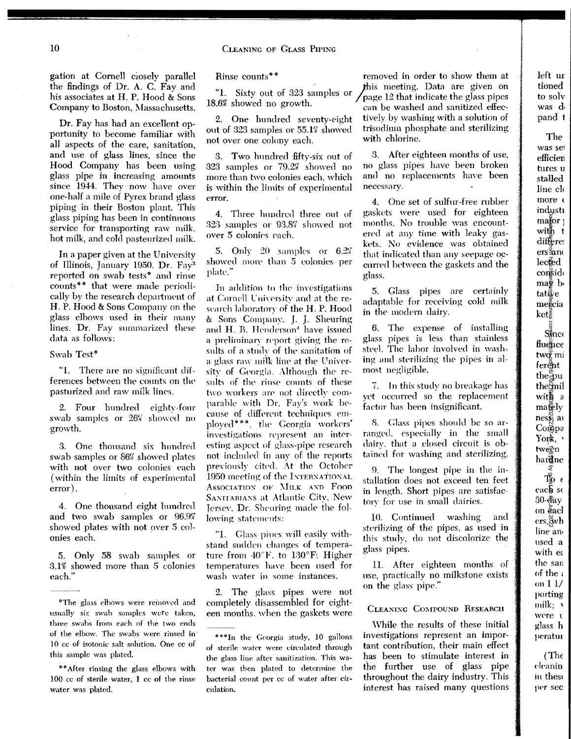gation at Cornell ciosely parallel the findings of Dr. A. C. Fay and his associates at H. P. Hood & Sons Company to Boston, Massachusetts.

Dr. Fay has had an excellent opportunity to become familiar with all aspects of the care, sanitation, and use of glass lines, since the Hood Company has been using glass pipe in increasing amounts since 1944. Thev now have over one-half a mile of Pyrex brand glass piping in their Boston plant. This glass piping has been in continuous service for transporting raw milk. hot milk, and cold pasteurized milk.

In a paper given at the University of Illinois, January 1950. Dr. Fay<sup>3</sup> reported on swab tests<sup>\*</sup> and rinse counts<sup>\*\*</sup> that were made periodically by the research department of H. P. Hood & Sons Company on the glass elbows used in their many lines. Dr. Fay summarized these data as follows:

Swab Test<sup>®</sup>

"1. There are no significant differences between the counts on the pasturized and raw milk lines.

2. Four hundred eighty-four swab samples or 26% showed no growth.

3. One thousand six hundred swab samples or 86% showed plntes with not over two colonies each (within the limits of experimental error).

4. One thousand eight hundred and two swab samples or 96.9S' showed plates with not over 5 colonies each.

5. Only 58 swab samples or 3.1% showed more than 5 colonies each."

<sup>o</sup>The glass elbows were removed and usually *six* swab samples were taken, three swahs from each of the two ends of the elbow. The swabs were rinsed in 10 cc of isotonic salt solution. One cc of this sample was plated.

**"**"After rinsing the glass elbows with 100 cc of sterile water, 1 cc of the rinse water was plated.

"1. Sixty out of 323 samples or  $18.6%$  showed no growth.

out of 323 samples or 55.1% showed trisodium phosphate and sterilizing<br>not over one colony each with chlorine. not over one colony each.

3. Two hundred fifty-six out of  $323$  samples or  $79.2%$  showed no more than two colonies each. which is within the limits of experimental error.

4. Three hundred three out of 323 samples or 93.8<sup>7</sup> showed not over 5 colonies each.

5. Only 20 samples or 6.2% showed more than 5 colonies per plate."

In addition to the investigations at Cornell University and at the research laboratory of the H. P. Hood & Sons Company. J. J. Sheuring and H. B. Henderson<sup>4</sup> have issued a preliminary report giving the results of a study of the sanitation of a glass raw milk line at the University of Georgia. Although the results of the rinse counts of these two workers are not directly comparable with Dr. Fay's work because of different techniques employed"", the Georgia workers' investigations represent an interesting aspect of glass-pipe research not included in any of the reports previously cited. At the October 1950 meeting of the INTERNATIONAL Association of Milk and Food SANITARIANS at Atlantic City, New Jersey, Dr. Sheuring made the following statements:

"1. Glass pines will easily withstand sudden changes of temperature from  $40^{\circ}$ F. to  $130^{\circ}$ F. Higher temperatures have been used for wash water in some instances.

2. The glass pipes were not completely disassembled for eighteen months. when the gaskets were

Rinse counts<sup>\*\*</sup> " removed in order to show them at *this* meeting. Data are given on page 12 that indicate the glass pipes can be washed and sanitized effec-2. One hundred seventy-eight tively by washing with a solution of

> 3. After eighteen months of use, no glass pipes have been broken and no replacements have been necessary.

> 4. One set of sulfur-free mbber gaskets were used for eighteen months. No trouble was encountered at any time with leaky gaskets. No evidence was obtained that indicated than any seepage occurn•(l between the gaskets and the glass.

> 5. Glass pipes are certainly adaptable for receiving cold milk in the modern dairy.

> 6. The expense of installing glass pipes is less than stainless steel. The lahor involved in washing and sterilizing the pipes in almost negligible.

> 7. In this study no breakage has yet occurred so the replacement factor has been insignificant.

S. Glass pipes should be so arranged, especially in the small dairv. that a dosed circuit is obtained for washing and sterilizing.

9. The longest pipe in the installation does not exceed ten feet in length. Short pipes are satisfactory for use in small dairies.

10. Continued washing and sterilizing of the pipes, as used in this study, do not discolorize the glass pipes.

11. After eighteen months of use, practically no milkstone exists on the glass pipe."

# CLEANING CoMPOUND RESEARCH

While the results of these initial investigations represent an important contribution, their main effect has been to stimulate interest in the further use of glass pipe throughout the dairy industry. This interest has raised many questions left ur tioned to solv was d· pand I

The

was sel efficien tures u stalled line cl< more ( indush  $ma<sub>g</sub>$ or<sub>]</sub> with t differe!  $ers \frac{6}{2}$ and  $lec$ <sub>ed</sub> consido  $ma\ddot{g}$  b tative  $me\bar{g}$ cia  $\mathrm{ket}$ Sinco fluence two mi ferent the pu the mil with  $a$  $ma\ddot{B}$ ly  $nes_{\aleph}^{\aleph}$  and **Compa**  $York,$ tween har**d**ne  $T^{\epsilon}_{\mathbf{\Phi}}$   $\epsilon$ each se 30-day on cacl  $ers, \overset{\sim}{\approx}$ line an• ttsed a with  $e<sub>i</sub>$ the san of the : on  $11/$ porting  $milk;$  ' were t glass h peratur (The publication in the second from http://meridian.allenpress.com/jearn-particle-point the same meridian.allenpress.com/jearn-particle-point by weak article-point by glass.com/jearn-particle-point by glass.com/jearn-particle-p

(·lt·nnin in these

per sec

10

<sup>&</sup>lt;sup>000</sup>In the Georgia study, 10 gallons of sterile water were circulated through the glass line after sanitization. This water was then plated to determine the bacterial count per cc of water after circulation.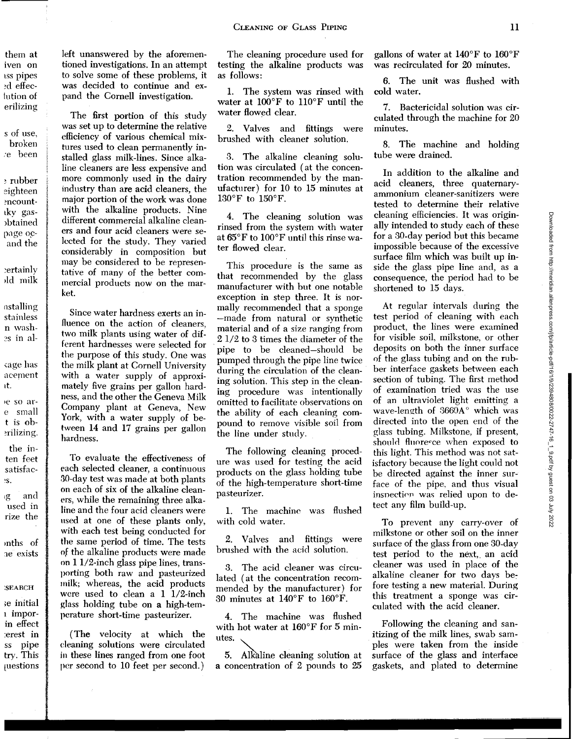them at iven on ISS pipes ~d effeclution of erilizing

s of use, broken *:e* been

~rubber eighteen ~ncounttky gas- )btained page ocand the

~ertainly )ld milk

nstalling stainless n wash- ?s in al-

(age has a cement tt.

•e so are small t is ob- ~rilizing.

the inten feet satisfac- 'S.

tg and used in rize the

mths of 1e exists

:SEARCH

;e initial 1 imporin effect :erest in ss pipe try. This [Uestions

left unanswered by the aforementioned investigations. In an attempt to solve some of these problems, it was decided to continue and expand the Cornell investigation.

The first portion of this study was set up to determine the relative efficiency of various chemical mixtures used to clean permanently installed glass milk-lines. Since alkaline cleaners are less expensive and more commonly used in the dairy industry than are acid cleaners, the major portion of the work was done with the alkaline products. Nine different commercial alkaline cleaners and four acid cleaners were selected for the study. They varied considerably in composition but may be considered to be representative of many of the better commercial products now on the market.

Since water hardness exerts an influence on the action of cleaners, two milk plants using water of different hardnesses were selected for the purpose of this study. One was the milk plant at Cornell University with a water supply of approximately five grains per gallon hardness, and the other the Geneva Milk Company plant at Geneva, New York, with a water supply of between 14 and 17 grains per gallon hardness.

To evaluate the effectiveness of each selected cleaner, a continuous 30-day test was made at both plants on each of six of the alkaline cleaners, while the remaining three alkaline and the four acid cleaners were used at one of these plants only, with each test being conducted for the same period of time. The tests nf the alkaline products were made on 1 1/2-inch glass pipe lines, transporting both raw and pasteurized rnilk; whereas, the acid products were used to clean a 1 1/2-inch glass holding tube on a high-temperature short-time pasteurizer.

(The velocity at which the deaning solutions were circulated in these lines ranged from one foot per second to 10 feet per second.)

The cleaning procedure used for testing the alkaline products was as follows:

1. The system was rinsed with water at 100°F to ll0°F until the water flowed clear.

Valves and fittings were brushed with cleaner solution.

3. The alkaline cleaning solution was circulated (at the concentration recommended by the manufacturer) for 10 to 15 minutes at 130°F to 150°F.

4. The cleaning solution was rinsed from the system with water at 65°F to 100°F until this rinse water flowed clear.

This procedure is the same as that recommended by the glass manufacturer with but one notable exception in step three. It is normally recommended that a sponge -made from natural or synthetic material and of a size ranging from 2 1/2 to 3 times the diameter of the pipe to be cleaned-should be pumped through the pipe line twice during the circulation of the cleaning solution. This step in the cleaning procedure was intentionally omitted to facilitate observations on the ability of each cleaning compound to remove visible soil from the line under study.

The following cleaning procedure was used for testing the acid products on the glass holding tube of the high-temperature short-time pasteurizer.

1. The machine was flushed with cold water.

2. Valves and fittings were brushed with the acid solution.

3. The acid cleaner was circulated (at the concentration recommended by the manufacturer) for 30 minutes at l40°F to 160°F.

4. The machine was flushed with hot water at 160°F for 5 minutes.

5. Alkaline cleaning solution at a concentration of 2 pounds to 25

gallons of water at 140°F to 160°F was recirculated for 20 minutes.

6. The unit was flushed with cold water.

7. Bactericidal solution was circulated through the machine for 20 minutes.

8. The machine and holding tube were drained.

In addition to the alkaline and acid cleaners, three quaternaryammonium cleaner-sanitizers were tested to determine their relative cleaning efficiencies. It was originally intended to study each of these for a 30-day period but this became impossible because of the excessive surface film which was built up inside the glass pipe line and, as a consequence, the period had to be shortened to 15 days.

At regular intervals during the test period of cleaning with each product, the lines were examined for visible soil, milkstone, or other deposits on both the inner surface of the glass tubing and on the rubber interface gaskets between each section of tubing. The first method of examination tried was the use of an ultraviolet light emitting a wave-length of  $3660A^{\circ}$  which was directed into the open end of the glass tubing. Milkstone, if present, should fluoresce when exposed to this light. This method was not satisfactory because the light could not be directed against the inner surface of the pipe, and thus visual inspection was relied upon to detect any film build-up.

To prevent any carry-over of milkstone or other soil on the inner surface of the glass from one 30-day test period to the next, an acid cleaner was used in place of the alkaline cleaner for two days before testing a new material. During this treatment a sponge was circulated with the acid cleaner.

Following the cleaning and sanitizing of the milk lines, swab samples were taken from the inside surface of the glass and interface gaskets, and plated to determine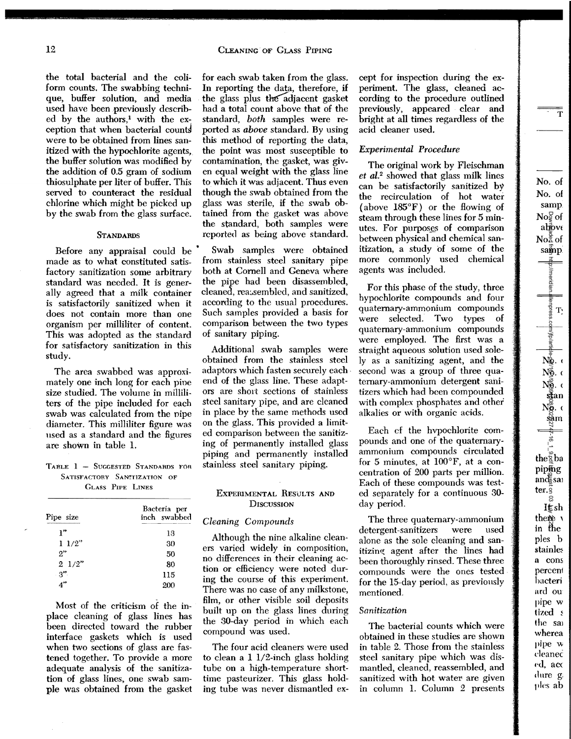the total bacterial and the coliform counts. The swabbing technique, buffer solution, and media used have been previously described by the authors,<sup>1</sup> with the exception that when bacterial counts were to be obtained from lines sanitized with the hypochlorite agents, the buffer solution was modified by the addition of 0.5 gram of sodium thiosulphate per liter of buffer. This served to counteract the residual chlorine which might be picked up by the swab from the glass surface.

### **STANDARDS**

Before any appraisal could be made as to what constituted satisfactory sanitization some arbitrary standard was needed. It is generally agreed that a milk container is satisfactorily sanitized when it does not contain more than one organism per milliliter of content. This was adopted as the standard for satisfactory sanitization in this study.

The area swabbed was approximately one inch long for each pine size studied. The volume in milliliters of the pipe included for each swab was calculated from the nipe diameter. This milliliter figure was used as a standard and the figures are shown in table l.

TABLE 1 - SUGGESTED STANDARDS FOR SATISFACTORY SANTIZATION OF GLASS PIPE LINES

| Pipe size<br>   | Bacteria per<br>inch swabbed<br><b>Chairman Committee Concerts Committee Committee Committee Committee Committee Committee Committee Committee Committee</b> |  |  |  |  |  |
|-----------------|--------------------------------------------------------------------------------------------------------------------------------------------------------------|--|--|--|--|--|
| 1"              | 13                                                                                                                                                           |  |  |  |  |  |
| 11/2"           | 30                                                                                                                                                           |  |  |  |  |  |
| 2"              | 50                                                                                                                                                           |  |  |  |  |  |
| $2 \frac{1}{2}$ | 80                                                                                                                                                           |  |  |  |  |  |
| -3"             | 115                                                                                                                                                          |  |  |  |  |  |
| ودر             | 200                                                                                                                                                          |  |  |  |  |  |

Most of the criticism of the inplace cleaning of glass lines has been directed toward the rubber interface gaskets which is used when two sections of glass are fastened together. To provide a more adequate analysis of the sanitization of glass lines, one swab sample was obtained from the gasket for each swab taken from the glass. In reporting the data, therefore, if the glass plus the adjacent gasket had a total count above that of the standard, *both* samples were reported as *above* standard. By using this method of reporting the data, the point was most susceptible to contamination, the gasket, was given equal weight with the glass line to which it was adjacent. Thus even though the swab obtained from the glass was sterile, if the swab obtained from the gasket was above the standard, both samples were reported as being above standard.

Swab samples were obtained from stainless steel sanitary pipe both at Cornell and Geneva where the pipe had been disassembled, cleaned, reassembled, and sanitized, according to the usual procedures. Such samples provided a basis for comparison between the two types of sanitary piping.

Additional swab samples were obtained from the stainless steel adaptors which fasten securely each· end of the glass line. These adaptors are short sections of stainless steel sanitary pipe, and are cleaned in place by the same methods used on the glass. This provided a limited comparison between the sanitizing of permanently installed glass piping and permanently installed stainless steel sanitary piping.

## ExPERIMENTAL RESULTS AND **DISCUSSION**

### *Cleaning Compounds*

Although the nine alkaline cleaners varied widely in composition, no differences in their cleaning action or efficiency were noted during the course of this experiment. There was no case of any milkstone, film, or other visible soil deposits built up on the glass lines during the 30-day period in which each compound was used.

The four acid cleaners were used to clean a 1 1/2-inch glass holding tube on a high-temperature shorttime pasteurizer. This glass holding tube was never dismantled ex-

cept for inspection during the experiment. The glass, cleaned according to the procedure outlined previously, appeared clear and bright at all times regardless of the acid cleaner used.

# *Experimental Procedure*

The original work by Fleischman et al.<sup>2</sup> showed that glass milk lines can be satisfactorily sanitized by the recirculation of hot water (above 185°F) or the flowing of steam through these lines for 5 minutes. For purposes of comparison between physical and chemical sanitization, a study of some of the more commonly used chemical agents was included.

For this phase of the study, three hypochlorite compounds and four quaternary-ammonium compounds were selected. Two types of quaternary-ammonium compounds were employed. The first was a straight aqueous solution used solely as a sanitizing agent, and the second was a group of three quaternary-ammonium detergent sanitizers which had been compounded with complex phosphates and other alkalies or with organic acids.

Each cf the hvpochlorite compounds and one of the quaternaryammonium compounds circulated for 5 minutes, at 100°F, at a concentration of 200 parts per million. Each of these compounds was tested separately for a continuous 30 day period.

The three quaternary-ammonium detergent-sanitizers were used alone as the sole cleaning and sanitizing agent after the lines had been thoroughly rinsed. These three compounds were the ones tested for the 15-day period, as previously mentioned.

#### *Sanitization*

The bacterial counts which were obtained in these studies are shown in table 2. Those from the stainless steel sanitary pipe which was dismantled, cleaned, reassembled, and sanitized with hot water are given in column L Column 2 presents

 $-\frac{1}{T}$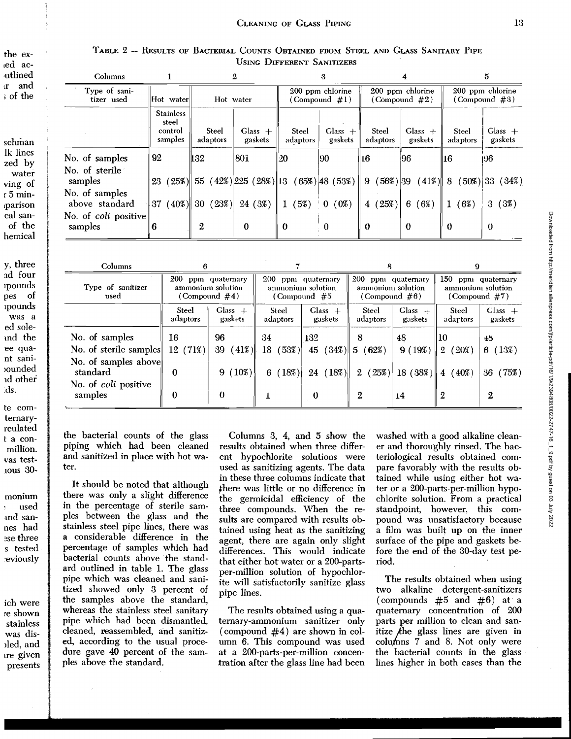|                            |  |  | Table 2 – Results of Bacterial Counts Obtained from Steel and Glass Sanitary Pipe |  |  |  |  |  |  |  |  |
|----------------------------|--|--|-----------------------------------------------------------------------------------|--|--|--|--|--|--|--|--|
| USING DIFFERENT SANITIZERS |  |  |                                                                                   |  |  |  |  |  |  |  |  |

| Columns                                                                                |                                                 |                   | 2                                                                      |                          | 3                    |                                      | 4                                    | 5.                       |                      |  |
|----------------------------------------------------------------------------------------|-------------------------------------------------|-------------------|------------------------------------------------------------------------|--------------------------|----------------------|--------------------------------------|--------------------------------------|--------------------------|----------------------|--|
| Type of sani-<br>tizer used<br>$\left  \text{Hot } \text{ water} \right $<br>Hot water |                                                 |                   | 200 ppm chlorine<br>$(Combound \#1)$                                   |                          |                      | 200 ppm chlorine<br>$(Compound \#2)$ | 200 ppm chlorine<br>$(Compound \#3)$ |                          |                      |  |
|                                                                                        | <b>Stainless</b><br>steel<br>control<br>samples | Steel<br>adaptors | $\text{Glass} +$<br>gaskets                                            | <b>Steel</b><br>adaptors | $Class +$<br>gaskets | <b>Steel</b><br>adaptors             | $Class +$<br>gaskets                 | <b>Steel</b><br>adaptors | $Class +$<br>gaskets |  |
| No. of samples                                                                         | 92                                              | 132               | 80 <sub>1</sub>                                                        | 20                       | 90                   | ∥16                                  | 196                                  | ∥16                      | 196.                 |  |
| No. of sterile<br>samples                                                              |                                                 |                   | $\ 23 \ (25\%) \  55 \ (42\%) 225 \ (28\%) \  13 \ (65\%) 48 \ (53\%)$ |                          |                      | 9(56%) 39                            | $(41\%)$ 8                           |                          | $(50\%)$ 33 $(34\%)$ |  |
| No. of samples                                                                         |                                                 |                   |                                                                        |                          |                      |                                      |                                      |                          |                      |  |
| above standard                                                                         | $(40\%)$ 30<br> 37                              | (23%)             | 24 (3%)                                                                | (5%)<br>1                | (0%<br>$\bf{0}$      | (25%)<br>$\overline{4}$              | 6<br>(6%)                            | (6%)<br>$^{\circ}$ 1     | (3%)<br>3            |  |
| No. of <i>coli</i> positive<br>samples                                                 | 6                                               | $\boldsymbol{2}$  | $\theta$                                                               | $\bf{0}$                 | $\theta$             | $\theta$                             | $\bf{0}$                             | $\theta$                 | $\bf{0}$             |  |
|                                                                                        |                                                 |                   |                                                                        |                          |                      |                                      |                                      |                          |                      |  |

| <b>Columns</b>                   |                                                             |                      |                                           |                                                           |                                                             |                      |                                                             |                      |  |
|----------------------------------|-------------------------------------------------------------|----------------------|-------------------------------------------|-----------------------------------------------------------|-------------------------------------------------------------|----------------------|-------------------------------------------------------------|----------------------|--|
| Type of sanitizer<br>used        | 200 ppm quaternary<br>ammonium solution<br>(Compound $#4$ ) |                      |                                           | 200 ppm quaternary<br>ammonium solution<br>(Compound $#5$ | 200 ppm quaternary<br>ammonium solution<br>(Compound $#6$ ) |                      | 150 ppm quaternary<br>ammonium solution<br>(Compound $#7$ ) |                      |  |
|                                  | Steel<br>adaptors                                           | $Class +$<br>gaskets | Glass $+$<br>Steel<br>gaskets<br>adaptors |                                                           | <b>Steel</b><br>adaptors                                    | Glass $+$<br>gaskets | Steel<br>adaptors                                           | $Class +$<br>gaskets |  |
| No. of samples                   | 16                                                          | 96                   | 34                                        | 132                                                       | 8                                                           | 48                   | I10                                                         | 48                   |  |
| No. of sterile samples           | 12(71%)                                                     | 39<br>$(41\%)$       | (53%)<br>18                               |                                                           | 45 $(34\%)$ 5 $(62\%)$                                      | 9(19%)               | (20%)<br>$\overline{2}$                                     | (13%)<br>6           |  |
| No. of samples above<br>standard | 0                                                           | $9(10\%)$            | (18%)<br>6.                               | $(18\%)$<br>24                                            | 2(25%)                                                      | $18(38\%)$           | (40%<br>$\overline{4}$                                      | (75%)<br>36          |  |
| No. of coli positive<br>samples  | $\bf{0}$                                                    | 0                    |                                           | $\Omega$                                                  | 2                                                           | 14                   | 2                                                           | 2                    |  |

the bacterial counts of the glass piping which had been cleaned and sanitized in place with hot water.

It should be noted that although there was only a slight difference in the percentage of sterile samples between the glass and the stainless steel pipe lines, there was a considerable difference in the percentage of samples which had bacterial counts above the standard outlined in table 1. The glass pipe which was cleaned and sanitized showed only 3 percent of the samples above the standard, whereas the stainless steel sanitary pipe which had been dismantled, cleaned, reassembled, and sanitized, according to the usual procedure gave 40 percent of the samples above the standard.

Columns 3, 4, and 5 show the results obtained when three different hypochlorite solutions were used as sanitizing agents. The data in these three columns indicate that there was little or no difference in the germicidal efficiency of the three compounds. When the results are compared with results obtained using heat as the sanitizing agent, there are again only slight differences. This would indicate that either hot water or a 200-partsper-million solution of hypochlorite will satisfactorily sanitize glass pipe lines.

The results obtained using a quaternary-ammonium sanitizer only (compound  $#4$ ) are shown in column 6. This compound was used at a 200-parts-per-million concentration after the glass line had been washed with a good alkaline cleaner and thoroughly rinsed. The bacteriological results obtained compare favorably with the results obtained while using either hot water or a 200-parts-per-million hypochlorite solution. From a practical standpoint, however, this compound was unsatisfactory because a film was built up on the inner surface of the pipe and gaskets before the end of the 30-day test period.

The results obtained when using two alkaline detergent-sanitizers (compounds  $#5$  and  $#6$ ) at a quaternary concentration of 200 parts per million to clean and sanitize  $f$ he glass lines are given in columns 7 and 8. Not only were the bacterial counts in the glass lines higher in both cases than the

schman lk lines zed by water ving of r 5 minparison cal sanof the hemical

y, three ad four *ipounds* pes of *v*ounds was a ed soleand the ee quant saniounded id other ds.

te comternaryrculated t a conmillion. vas test-10us 30-

monium used and sannes had ese three s tested eviously Downloaded from http://meridian.allenpress.com/jfp/article-pdf/16/1/9/2394808/0022-2747-16\_1\_9.pdf by guest on 03 July 2022